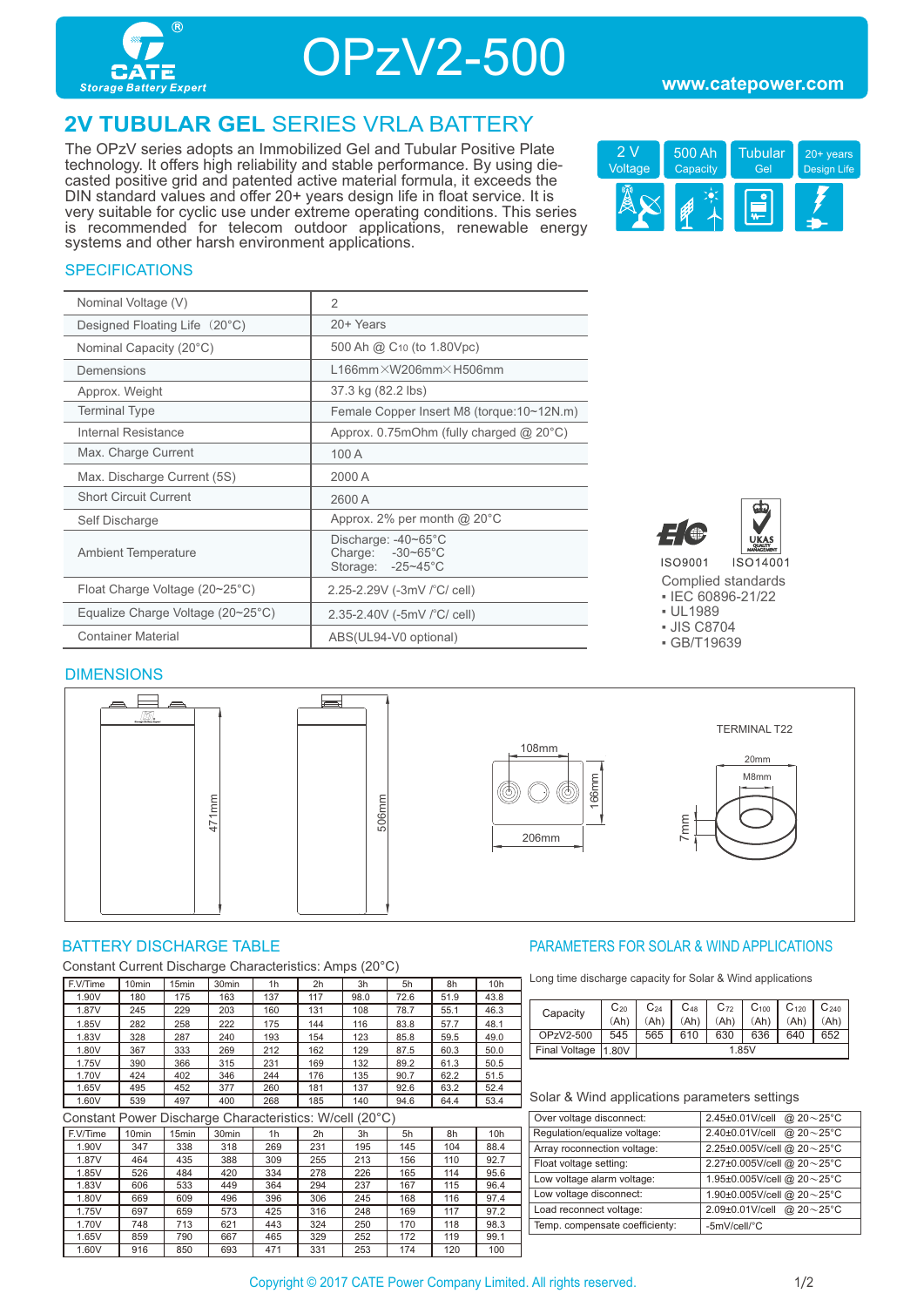

OPzV2-500

## **2V TUBULAR GEL** SERIES VRLA BATTERY

The OPzV series adopts an Immobilized Gel and Tubular Positive Plate technology. It offers high reliability and stable performance. By using diecasted positive grid and patented active material formula, it exceeds the DIN standard values and offer 20+ years design life in float service. It is very suitable for cyclic use under extreme operating conditions. This series is recommended for telecom outdoor applications, renewable energy systems and other harsh environment applications.



#### **SPECIFICATIONS**

| Nominal Voltage (V)                               | $\mathfrak{D}$                                                |
|---------------------------------------------------|---------------------------------------------------------------|
| Designed Floating Life (20°C)                     | 20+ Years                                                     |
| Nominal Capacity (20°C)                           | 500 Ah @ C <sub>10</sub> (to 1.80Vpc)                         |
| Demensions                                        | $L166$ mm $\times$ W206mm $\times$ H506mm                     |
| Approx. Weight                                    | 37.3 kg (82.2 lbs)                                            |
| <b>Terminal Type</b>                              | Female Copper Insert M8 (torque:10~12N.m)                     |
| Internal Resistance                               | Approx. $0.75$ mOhm (fully charged @ 20 $^{\circ}$ C)         |
| Max. Charge Current                               | 100 A                                                         |
| Max. Discharge Current (5S)                       | 2000 A                                                        |
| <b>Short Circuit Current</b>                      | 2600 A                                                        |
| Self Discharge                                    | Approx. 2% per month $@$ 20 $°C$                              |
| <b>Ambient Temperature</b>                        | Discharge: -40~65°C<br>Charge: -30~65°C<br>Storage: - 25~45°C |
| Float Charge Voltage (20~25°C)                    | 2.25-2.29V (-3mV /°C/ cell)                                   |
| Equalize Charge Voltage $(20~25~{\rm ^{\circ}C})$ | 2.35-2.40V (-5mV / °C/ cell)                                  |
| <b>Container Material</b>                         | ABS(UL94-V0 optional)                                         |



Complied standards ▪ IEC 60896-21/22

- UL1989
- JIS C8704
- GB/T19639

#### **DIMENSIONS**



Constant Current Discharge Characteristics: Amps (20°C)

| F.V/Time | 10 <sub>min</sub> | 15 <sub>min</sub> | 30 <sub>min</sub> | 1h  | 2 <sub>h</sub> | 3h   | 5h   | 8h   | 10h  |
|----------|-------------------|-------------------|-------------------|-----|----------------|------|------|------|------|
| 1.90V    | 180               | 175               | 163               | 137 | 117            | 98.0 | 72.6 | 51.9 | 43.8 |
| 1.87V    | 245               | 229               | 203               | 160 | 131            | 108  | 78.7 | 55.1 | 46.3 |
| 1.85V    | 282               | 258               | 222               | 175 | 144            | 116  | 83.8 | 57.7 | 48.1 |
| 1.83V    | 328               | 287               | 240               | 193 | 154            | 123  | 85.8 | 59.5 | 49.0 |
| 1.80V    | 367               | 333               | 269               | 212 | 162            | 129  | 87.5 | 60.3 | 50.0 |
| 1.75V    | 390               | 366               | 315               | 231 | 169            | 132  | 89.2 | 61.3 | 50.5 |
| 1.70V    | 424               | 402               | 346               | 244 | 176            | 135  | 90.7 | 62.2 | 51.5 |
| 1.65V    | 495               | 452               | 377               | 260 | 181            | 137  | 92.6 | 63.2 | 52.4 |
| 1.60V    | 539               | 497               | 400               | 268 | 185            | 140  | 94.6 | 64.4 | 53.4 |

Constant Power Discharge Characteristics: W/cell (20°C)

| F.V/Time | 10 <sub>min</sub> | 5 <sub>min</sub> | 30 <sub>min</sub> | 1 <sub>h</sub> | 2 <sub>h</sub> | 3h  | 5h  | 8h  | 10 <sub>h</sub> |  |
|----------|-------------------|------------------|-------------------|----------------|----------------|-----|-----|-----|-----------------|--|
| 1.90V    | 347               | 338              | 318               | 269            | 231            | 195 | 145 | 104 | 88.4            |  |
| 1.87V    | 464               | 435              | 388               | 309            | 255            | 213 | 156 | 110 | 92.7            |  |
| 1.85V    | 526               | 484              | 420               | 334            | 278            | 226 | 165 | 114 | 95.6            |  |
| 1.83V    | 606               | 533              | 449               | 364            | 294            | 237 | 167 | 115 | 96.4            |  |
| 1.80V    | 669               | 609              | 496               | 396            | 306            | 245 | 168 | 116 | 97.4            |  |
| 1.75V    | 697               | 659              | 573               | 425            | 316            | 248 | 169 | 117 | 97.2            |  |
| 1.70V    | 748               | 713              | 621               | 443            | 324            | 250 | 170 | 118 | 98.3            |  |
| 1.65V    | 859               | 790              | 667               | 465            | 329            | 252 | 172 | 119 | 99.1            |  |
| 1.60V    | 916               | 850              | 693               | 471            | 331            | 253 | 174 | 120 | 100             |  |

#### BATTERY DISCHARGE TABLE **External of the CONTROLLY CONTROLLY AND APPLICATIONS** PARAMETERS FOR SOLAR & WIND APPLICATIONS

Long time discharge capacity for Solar & Wind applications

| Capacity             | $C_{20}$ | $\mathrm{C}_{24}$ | $C_{48}$ | $C_{72}$ | $C_{100}$ | $C_{120}$ | $C_{240}$ |
|----------------------|----------|-------------------|----------|----------|-----------|-----------|-----------|
|                      | (Ah)     | (Ah               | (Ah)     | (Ah)     | (Ah)      | (Ah)      | (Ah)      |
| OPzV2-500            | 545      | 565               | 610      | 630      | 636       | 640       | 652       |
| <b>Final Voltage</b> | 11.80V   | 1.85V             |          |          |           |           |           |

#### Solar & Wind applications parameters settings

| Over voltage disconnect:       | 2.45±0.01V/cell @ 20~25°C  |
|--------------------------------|----------------------------|
| Regulation/equalize voltage:   | 2.40±0.01V/cell @ 20~25°C  |
| Array roconnection voltage:    | 2.25±0.005V/cell @ 20~25°C |
| Float voltage setting:         | 2.27±0.005V/cell @ 20~25°C |
| Low voltage alarm voltage:     | 1.95±0.005V/cell @ 20~25°C |
| Low voltage disconnect:        | 1.90±0.005V/cell @ 20~25°C |
| Load reconnect voltage:        | 2.09±0.01V/cell @ 20~25°C  |
| Temp. compensate coefficienty: | -5mV/cell/°C               |